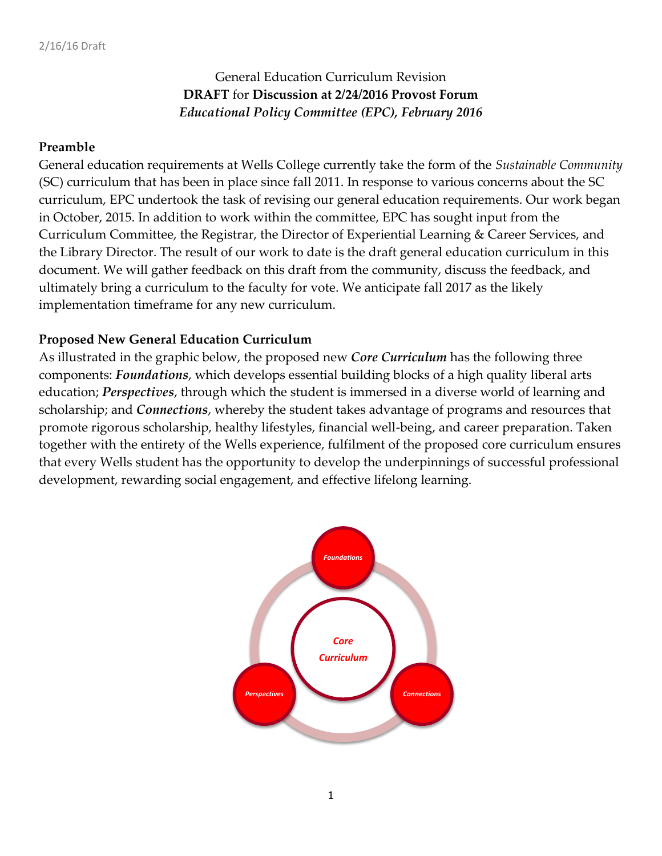# General Education Curriculum Revision **DRAFT** for **Discussion at 2/24/2016 Provost Forum** *Educational Policy Committee (EPC), February 2016*

#### **Preamble**

General education requirements at Wells College currently take the form of the *Sustainable Community* (SC) curriculum that has been in place since fall 2011. In response to various concerns about the SC curriculum, EPC undertook the task of revising our general education requirements. Our work began in October, 2015. In addition to work within the committee, EPC has sought input from the Curriculum Committee, the Registrar, the Director of Experiential Learning & Career Services, and the Library Director. The result of our work to date is the draft general education curriculum in this document. We will gather feedback on this draft from the community, discuss the feedback, and ultimately bring a curriculum to the faculty for vote. We anticipate fall 2017 as the likely implementation timeframe for any new curriculum.

#### **Proposed New General Education Curriculum**

As illustrated in the graphic below, the proposed new *Core Curriculum* has the following three components: *Foundations*, which develops essential building blocks of a high quality liberal arts education; *Perspectives*, through which the student is immersed in a diverse world of learning and scholarship; and *Connections*, whereby the student takes advantage of programs and resources that promote rigorous scholarship, healthy lifestyles, financial well-being, and career preparation. Taken together with the entirety of the Wells experience, fulfilment of the proposed core curriculum ensures that every Wells student has the opportunity to develop the underpinnings of successful professional development, rewarding social engagement, and effective lifelong learning.

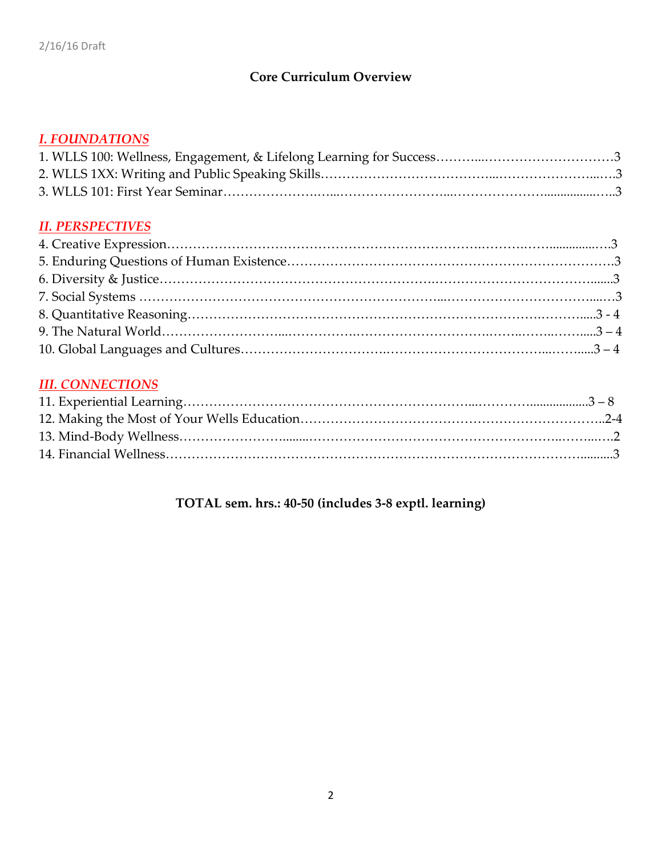# **Core Curriculum Overview**

### *I. FOUNDATIONS*

### *II. PERSPECTIVES*

### *III. CONNECTIONS*

# **TOTAL sem. hrs.: 40-50 (includes 3-8 exptl. learning)**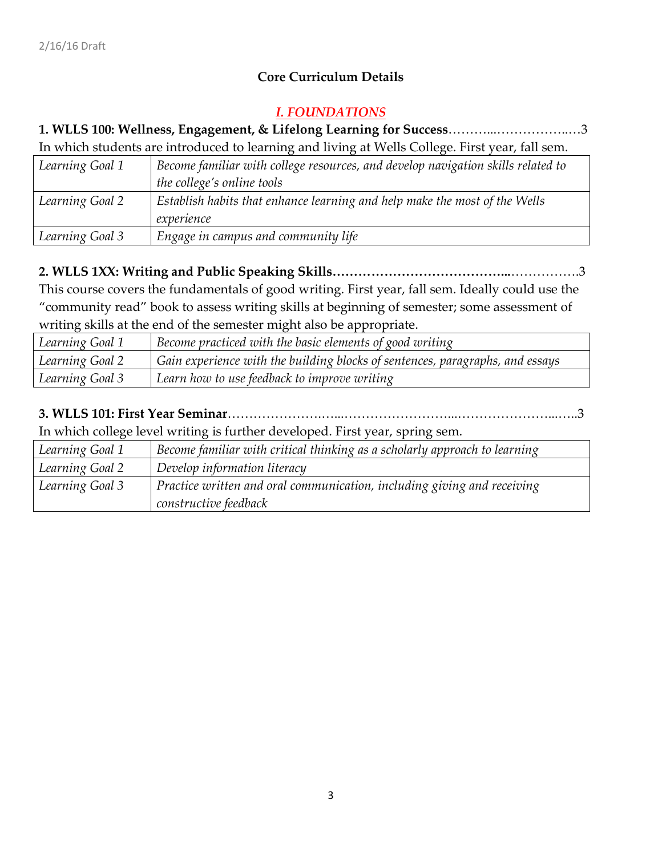# **Core Curriculum Details**

#### *I. FOUNDATIONS*

#### **1. WLLS 100: Wellness, Engagement, & Lifelong Learning for Success**………...……………..…3 In which students are introduced to learning and living at Wells College. First year, fall sem.

| In which statemes are introduced to realing and hylig at viens conege. I hat year, lan semi. |                                                                                  |
|----------------------------------------------------------------------------------------------|----------------------------------------------------------------------------------|
| Learning Goal 1                                                                              | Become familiar with college resources, and develop navigation skills related to |
|                                                                                              | the college's online tools                                                       |
| Learning Goal 2                                                                              | Establish habits that enhance learning and help make the most of the Wells       |
|                                                                                              | experience                                                                       |
| Learning Goal 3                                                                              | Engage in campus and community life                                              |

# **2. WLLS 1XX: Writing and Public Speaking Skills…………………………………...**…………….3

This course covers the fundamentals of good writing. First year, fall sem. Ideally could use the "community read" book to assess writing skills at beginning of semester; some assessment of writing skills at the end of the semester might also be appropriate.

| Learning Goal 1 | Become practiced with the basic elements of good writing                      |
|-----------------|-------------------------------------------------------------------------------|
| Learning Goal 2 | Gain experience with the building blocks of sentences, paragraphs, and essays |
| Learning Goal 3 | Learn how to use feedback to improve writing                                  |

# **3. WLLS 101: First Year Seminar**………………….…...……………………...…………………...…..3

In which college level writing is further developed. First year, spring sem.

| Learning Goal 1 | Become familiar with critical thinking as a scholarly approach to learning |
|-----------------|----------------------------------------------------------------------------|
| Learning Goal 2 | Develop information literacy                                               |
| Learning Goal 3 | Practice written and oral communication, including giving and receiving    |
|                 | constructive feedback                                                      |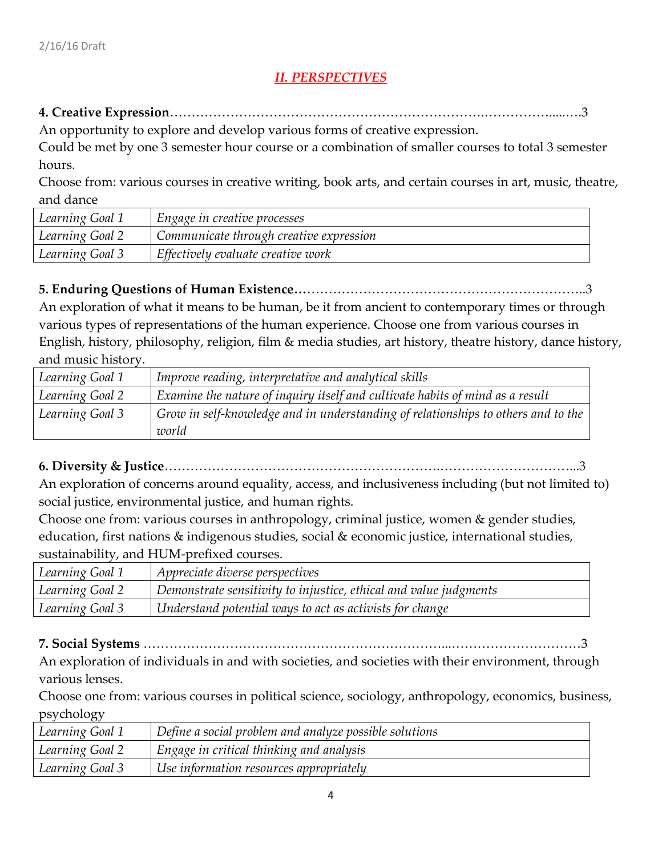# *II. PERSPECTIVES*

#### **4. Creative Expression**……………………………………………………………….…………….....….3

An opportunity to explore and develop various forms of creative expression.

Could be met by one 3 semester hour course or a combination of smaller courses to total 3 semester hours.

Choose from: various courses in creative writing, book arts, and certain courses in art, music, theatre, and dance

| Learning Goal 1 | Engage in creative processes            |
|-----------------|-----------------------------------------|
| Learning Goal 2 | Communicate through creative expression |
| Learning Goal 3 | Effectively evaluate creative work      |

# **5. Enduring Questions of Human Existence…**………………………………………………………..3

An exploration of what it means to be human, be it from ancient to contemporary times or through various types of representations of the human experience. Choose one from various courses in English, history, philosophy, religion, film & media studies, art history, theatre history, dance history, and music history.

| Learning Goal 1 | Improve reading, interpretative and analytical skills                                      |
|-----------------|--------------------------------------------------------------------------------------------|
| Learning Goal 2 | $\vert$ Examine the nature of inquiry itself and cultivate habits of mind as a result      |
| Learning Goal 3 | Grow in self-knowledge and in understanding of relationships to others and to the<br>world |

**6. Diversity & Justice**……………………………………………………….…………………………...3

An exploration of concerns around equality, access, and inclusiveness including (but not limited to) social justice, environmental justice, and human rights.

Choose one from: various courses in anthropology, criminal justice, women & gender studies, education, first nations & indigenous studies, social & economic justice, international studies, sustainability, and HUM-prefixed courses.

| Learning Goal 1 | Appreciate diverse perspectives                                          |
|-----------------|--------------------------------------------------------------------------|
| Learning Goal 2 | $\mid$ Demonstrate sensitivity to injustice, ethical and value judgments |
| Learning Goal 3 | Understand potential ways to act as activists for change                 |

**7. Social Systems** ……………………………………………………………...…………………………3

An exploration of individuals in and with societies, and societies with their environment, through various lenses.

Choose one from: various courses in political science, sociology, anthropology, economics, business, psychology

| Learning Goal 1 | Define a social problem and analyze possible solutions |
|-----------------|--------------------------------------------------------|
| Learning Goal 2 | Engage in critical thinking and analysis               |
| Learning Goal 3 | Use information resources appropriately                |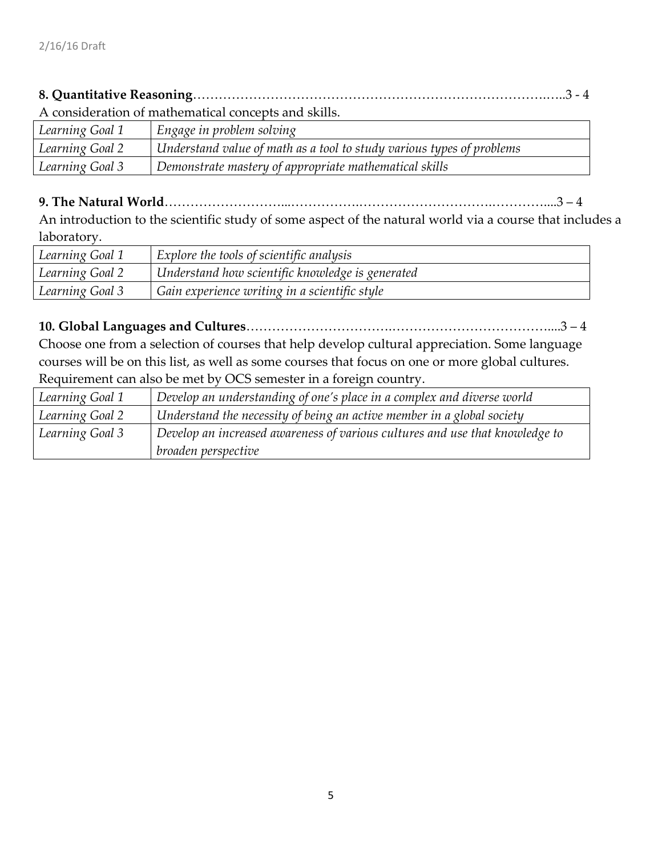# **8. Quantitative Reasoning**……………………………………………………………………….…..3 - 4

A consideration of mathematical concepts and skills.

| Learning Goal 1 | Engage in problem solving                                             |
|-----------------|-----------------------------------------------------------------------|
| Learning Goal 2 | Understand value of math as a tool to study various types of problems |
| Learning Goal 3 | Demonstrate mastery of appropriate mathematical skills                |

### **9. The Natural World**………………………...…………….………………………….…………....3 – 4

An introduction to the scientific study of some aspect of the natural world via a course that includes a laboratory.

| Learning Goal 1 | Explore the tools of scientific analysis         |
|-----------------|--------------------------------------------------|
| Learning Goal 2 | Understand how scientific knowledge is generated |
| Learning Goal 3 | Gain experience writing in a scientific style    |

### **10. Global Languages and Cultures**…………………………….………………………………....3 – 4

Choose one from a selection of courses that help develop cultural appreciation. Some language courses will be on this list, as well as some courses that focus on one or more global cultures. Requirement can also be met by OCS semester in a foreign country.

| Learning Goal 1 | $\mid$ Develop an understanding of one's place in a complex and diverse world |
|-----------------|-------------------------------------------------------------------------------|
| Learning Goal 2 | Understand the necessity of being an active member in a global society        |
| Learning Goal 3 | Develop an increased awareness of various cultures and use that knowledge to  |
|                 | broaden perspective                                                           |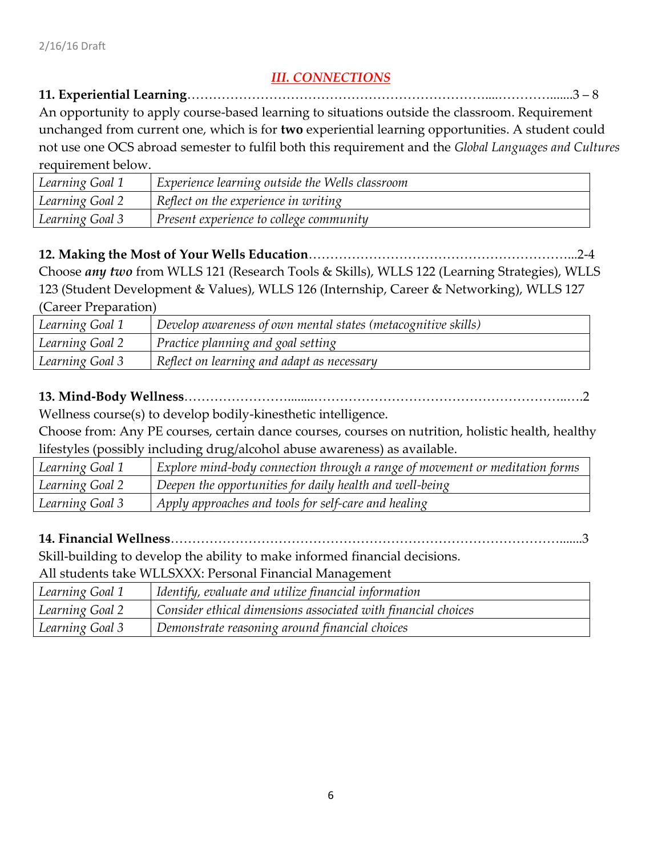# *III. CONNECTIONS*

#### **11. Experiential Learning**……………………………………………………………....………….......3 – 8

An opportunity to apply course-based learning to situations outside the classroom. Requirement unchanged from current one, which is for **two** experiential learning opportunities. A student could not use one OCS abroad semester to fulfil both this requirement and the *Global Languages and Cultures*  requirement below.

| Learning Goal 1 | Experience learning outside the Wells classroom |  |  |  |  |  |  |
|-----------------|-------------------------------------------------|--|--|--|--|--|--|
| Learning Goal 2 | Reflect on the experience in writing            |  |  |  |  |  |  |
| Learning Goal 3 | Present experience to college community         |  |  |  |  |  |  |

**12. Making the Most of Your Wells Education**……………………………………………………...2-4

Choose *any two* from WLLS 121 (Research Tools & Skills), WLLS 122 (Learning Strategies), WLLS 123 (Student Development & Values), WLLS 126 (Internship, Career & Networking), WLLS 127 (Career Preparation)

| Learning Goal 1 | Develop awareness of own mental states (metacognitive skills) |  |  |  |  |  |  |  |
|-----------------|---------------------------------------------------------------|--|--|--|--|--|--|--|
| Learning Goal 2 | Practice planning and goal setting                            |  |  |  |  |  |  |  |
| Learning Goal 3 | Reflect on learning and adapt as necessary                    |  |  |  |  |  |  |  |

# **13. Mind-Body Wellness**……………………........…………………………………………………..….2

Wellness course(s) to develop bodily-kinesthetic intelligence.

Choose from: Any PE courses, certain dance courses, courses on nutrition, holistic health, healthy lifestyles (possibly including drug/alcohol abuse awareness) as available.

| Learning Goal 1 | Explore mind-body connection through a range of movement or meditation forms |
|-----------------|------------------------------------------------------------------------------|
| Learning Goal 2 | Deepen the opportunities for daily health and well-being                     |
| Learning Goal 3 | Apply approaches and tools for self-care and healing                         |

# **14. Financial Wellness**……………………………………………………………………………….......3

Skill-building to develop the ability to make informed financial decisions.

All students take WLLSXXX: Personal Financial Management

| Learning Goal 1 | Identify, evaluate and utilize financial information          |
|-----------------|---------------------------------------------------------------|
| Learning Goal 2 | Consider ethical dimensions associated with financial choices |
| Learning Goal 3 | Demonstrate reasoning around financial choices                |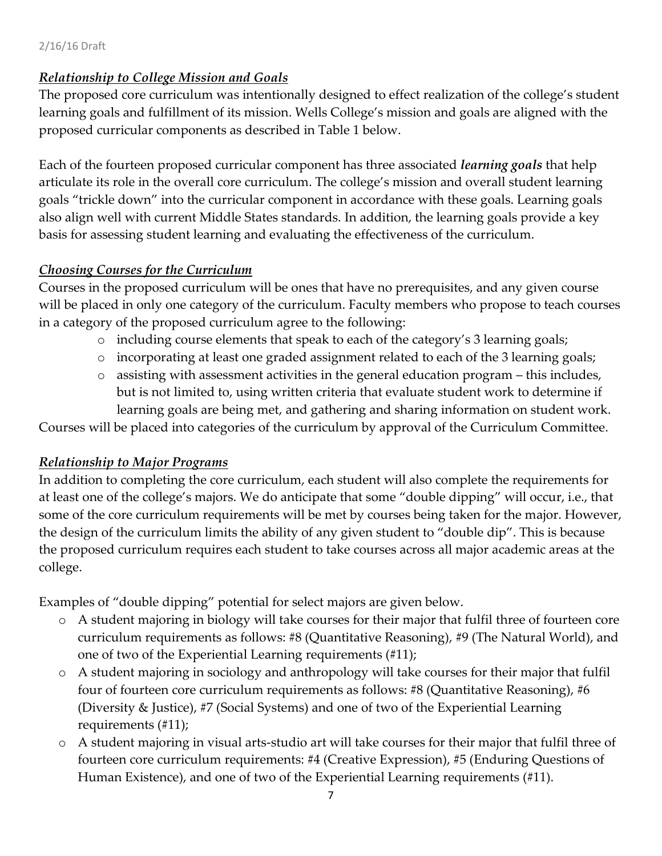#### 2/16/16 Draft

### *Relationship to College Mission and Goals*

The proposed core curriculum was intentionally designed to effect realization of the college's student learning goals and fulfillment of its mission. Wells College's mission and goals are aligned with the proposed curricular components as described in Table 1 below.

Each of the fourteen proposed curricular component has three associated *learning goals* that help articulate its role in the overall core curriculum. The college's mission and overall student learning goals "trickle down" into the curricular component in accordance with these goals. Learning goals also align well with current Middle States standards. In addition, the learning goals provide a key basis for assessing student learning and evaluating the effectiveness of the curriculum.

# *Choosing Courses for the Curriculum*

Courses in the proposed curriculum will be ones that have no prerequisites, and any given course will be placed in only one category of the curriculum. Faculty members who propose to teach courses in a category of the proposed curriculum agree to the following:

- o including course elements that speak to each of the category's 3 learning goals;
- o incorporating at least one graded assignment related to each of the 3 learning goals;
- o assisting with assessment activities in the general education program this includes, but is not limited to, using written criteria that evaluate student work to determine if learning goals are being met, and gathering and sharing information on student work.

Courses will be placed into categories of the curriculum by approval of the Curriculum Committee.

# *Relationship to Major Programs*

In addition to completing the core curriculum, each student will also complete the requirements for at least one of the college's majors. We do anticipate that some "double dipping" will occur, i.e., that some of the core curriculum requirements will be met by courses being taken for the major. However, the design of the curriculum limits the ability of any given student to "double dip". This is because the proposed curriculum requires each student to take courses across all major academic areas at the college.

Examples of "double dipping" potential for select majors are given below.

- o A student majoring in biology will take courses for their major that fulfil three of fourteen core curriculum requirements as follows: #8 (Quantitative Reasoning), #9 (The Natural World), and one of two of the Experiential Learning requirements (#11);
- o A student majoring in sociology and anthropology will take courses for their major that fulfil four of fourteen core curriculum requirements as follows: #8 (Quantitative Reasoning), #6 (Diversity & Justice), #7 (Social Systems) and one of two of the Experiential Learning requirements (#11);
- o A student majoring in visual arts-studio art will take courses for their major that fulfil three of fourteen core curriculum requirements: #4 (Creative Expression), #5 (Enduring Questions of Human Existence), and one of two of the Experiential Learning requirements (#11).